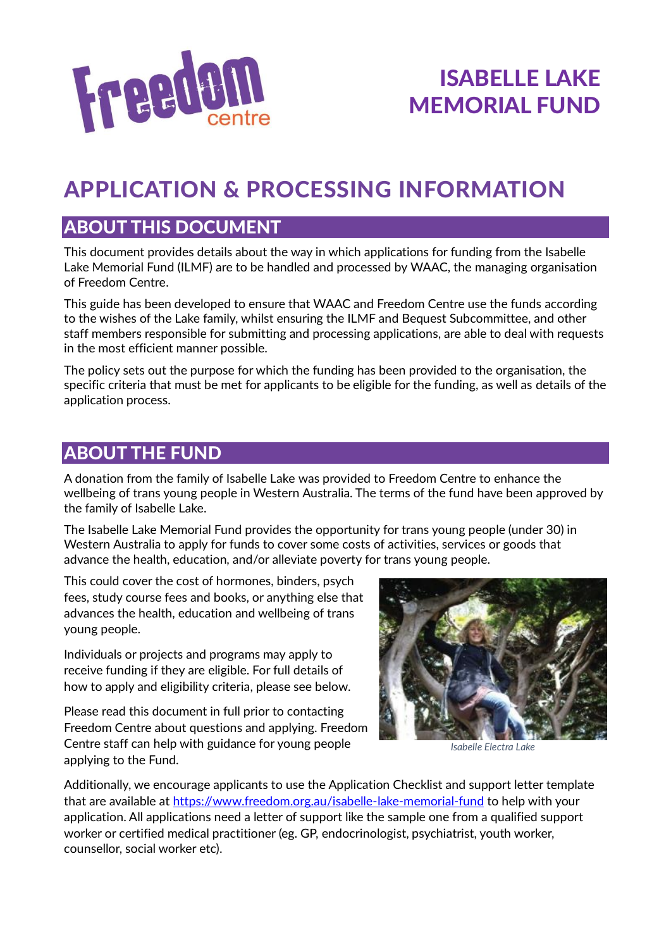

# APPLICATION & PROCESSING INFORMATION

### ABOUT THIS DOCUMENT

This document provides details about the way in which applications for funding from the Isabelle Lake Memorial Fund (ILMF) are to be handled and processed by WAAC, the managing organisation of Freedom Centre.

This guide has been developed to ensure that WAAC and Freedom Centre use the funds according to the wishes of the Lake family, whilst ensuring the ILMF and Bequest Subcommittee, and other staff members responsible for submitting and processing applications, are able to deal with requests in the most efficient manner possible.

The policy sets out the purpose for which the funding has been provided to the organisation, the specific criteria that must be met for applicants to be eligible for the funding, as well as details of the application process.

### ABOUT THE FUND

A donation from the family of Isabelle Lake was provided to Freedom Centre to enhance the wellbeing of trans young people in Western Australia. The terms of the fund have been approved by the family of Isabelle Lake.

The Isabelle Lake Memorial Fund provides the opportunity for trans young people (under 30) in Western Australia to apply for funds to cover some costs of activities, services or goods that advance the health, education, and/or alleviate poverty for trans young people.

This could cover the cost of hormones, binders, psych fees, study course fees and books, or anything else that advances the health, education and wellbeing of trans young people.

Individuals or projects and programs may apply to receive funding if they are eligible. For full details of how to apply and eligibility criteria, please see below.

Please read this document in full prior to contacting Freedom Centre about questions and applying. Freedom Centre staff can help with guidance for young people applying to the Fund.



*Isabelle Electra Lake*

Additionally, we encourage applicants to use the Application Checklist and support letter template that are available at<https://www.freedom.org.au/isabelle-lake-memorial-fund> to help with your application. All applications need a letter of support like the sample one from a qualified support worker or certified medical practitioner (eg. GP, endocrinologist, psychiatrist, youth worker, counsellor, social worker etc).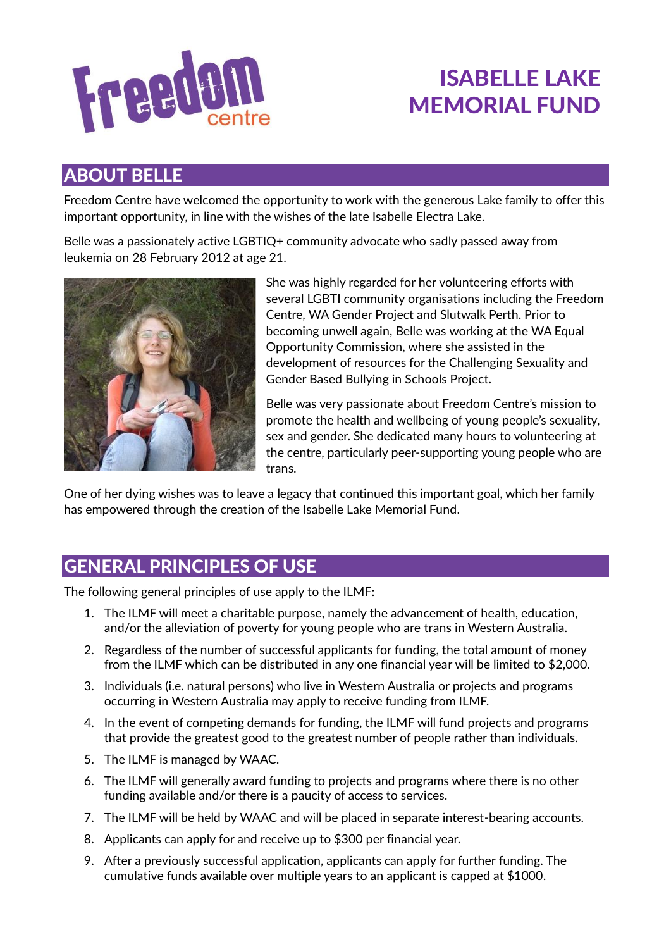

### ABOUT BELLE

Freedom Centre have welcomed the opportunity to work with the generous Lake family to offer this important opportunity, in line with the wishes of the late Isabelle Electra Lake.

Belle was a passionately active LGBTIQ+ community advocate who sadly passed away from leukemia on 28 February 2012 at age 21.



She was highly regarded for her volunteering efforts with several LGBTI community organisations including the Freedom Centre, WA Gender Project and Slutwalk Perth. Prior to becoming unwell again, Belle was working at the WA Equal Opportunity Commission, where she assisted in the development of resources for the Challenging Sexuality and Gender Based Bullying in Schools Project.

Belle was very passionate about Freedom Centre's mission to promote the health and wellbeing of young people's sexuality, sex and gender. She dedicated many hours to volunteering at the centre, particularly peer-supporting young people who are trans.

One of her dying wishes was to leave a legacy that continued this important goal, which her family has empowered through the creation of the Isabelle Lake Memorial Fund.

### GENERAL PRINCIPLES OF USE

The following general principles of use apply to the ILMF:

- 1. The ILMF will meet a charitable purpose, namely the advancement of health, education, and/or the alleviation of poverty for young people who are trans in Western Australia.
- 2. Regardless of the number of successful applicants for funding, the total amount of money from the ILMF which can be distributed in any one financial year will be limited to \$2,000.
- 3. Individuals (i.e. natural persons) who live in Western Australia or projects and programs occurring in Western Australia may apply to receive funding from ILMF.
- 4. In the event of competing demands for funding, the ILMF will fund projects and programs that provide the greatest good to the greatest number of people rather than individuals.
- 5. The ILMF is managed by WAAC.
- 6. The ILMF will generally award funding to projects and programs where there is no other funding available and/or there is a paucity of access to services.
- 7. The ILMF will be held by WAAC and will be placed in separate interest-bearing accounts.
- 8. Applicants can apply for and receive up to \$300 per financial year.
- 9. After a previously successful application, applicants can apply for further funding. The cumulative funds available over multiple years to an applicant is capped at \$1000.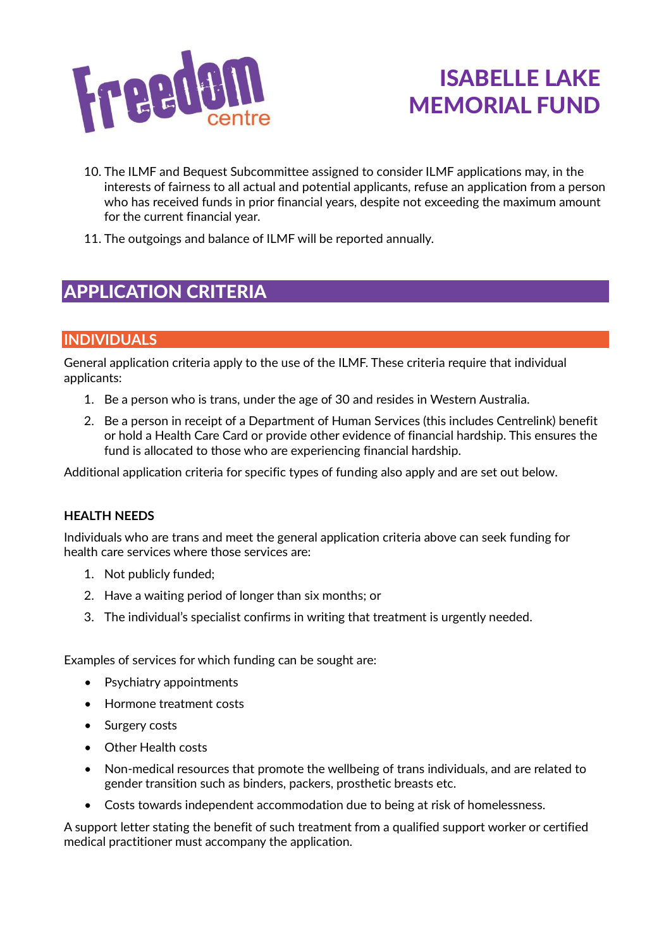

- 10. The ILMF and Bequest Subcommittee assigned to consider ILMF applications may, in the interests of fairness to all actual and potential applicants, refuse an application from a person who has received funds in prior financial years, despite not exceeding the maximum amount for the current financial year.
- 11. The outgoings and balance of ILMF will be reported annually.

### APPLICATION CRITERIA

#### **INDIVIDUALS**

General application criteria apply to the use of the ILMF. These criteria require that individual applicants:

- 1. Be a person who is trans, under the age of 30 and resides in Western Australia.
- 2. Be a person in receipt of a Department of Human Services (this includes Centrelink) benefit or hold a Health Care Card or provide other evidence of financial hardship. This ensures the fund is allocated to those who are experiencing financial hardship.

Additional application criteria for specific types of funding also apply and are set out below.

#### **HEALTH NEEDS**

Individuals who are trans and meet the general application criteria above can seek funding for health care services where those services are:

- 1. Not publicly funded;
- 2. Have a waiting period of longer than six months; or
- 3. The individual's specialist confirms in writing that treatment is urgently needed.

Examples of services for which funding can be sought are:

- Psychiatry appointments
- Hormone treatment costs
- Surgery costs
- Other Health costs
- Non-medical resources that promote the wellbeing of trans individuals, and are related to gender transition such as binders, packers, prosthetic breasts etc.
- Costs towards independent accommodation due to being at risk of homelessness.

A support letter stating the benefit of such treatment from a qualified support worker or certified medical practitioner must accompany the application.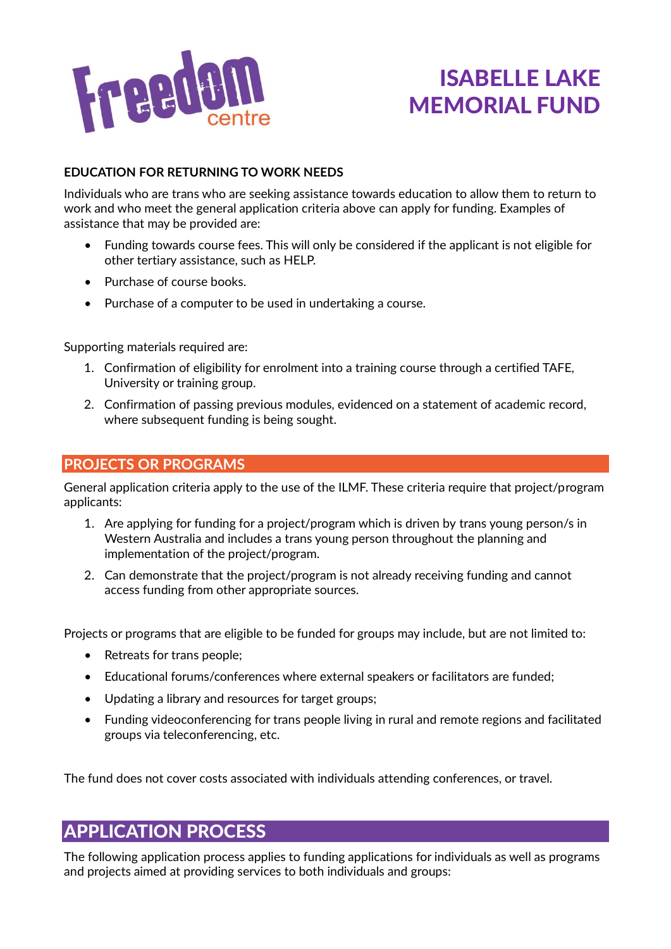

#### **EDUCATION FOR RETURNING TO WORK NEEDS**

Individuals who are trans who are seeking assistance towards education to allow them to return to work and who meet the general application criteria above can apply for funding. Examples of assistance that may be provided are:

- Funding towards course fees. This will only be considered if the applicant is not eligible for other tertiary assistance, such as HELP.
- Purchase of course books.
- Purchase of a computer to be used in undertaking a course.

Supporting materials required are:

- 1. Confirmation of eligibility for enrolment into a training course through a certified TAFE, University or training group.
- 2. Confirmation of passing previous modules, evidenced on a statement of academic record, where subsequent funding is being sought.

#### **PROJECTS OR PROGRAMS**

General application criteria apply to the use of the ILMF. These criteria require that project/program applicants:

- 1. Are applying for funding for a project/program which is driven by trans young person/s in Western Australia and includes a trans young person throughout the planning and implementation of the project/program.
- 2. Can demonstrate that the project/program is not already receiving funding and cannot access funding from other appropriate sources.

Projects or programs that are eligible to be funded for groups may include, but are not limited to:

- Retreats for trans people;
- Educational forums/conferences where external speakers or facilitators are funded;
- Updating a library and resources for target groups;
- Funding videoconferencing for trans people living in rural and remote regions and facilitated groups via teleconferencing, etc.

The fund does not cover costs associated with individuals attending conferences, or travel.

### APPLICATION PROCESS

The following application process applies to funding applications for individuals as well as programs and projects aimed at providing services to both individuals and groups: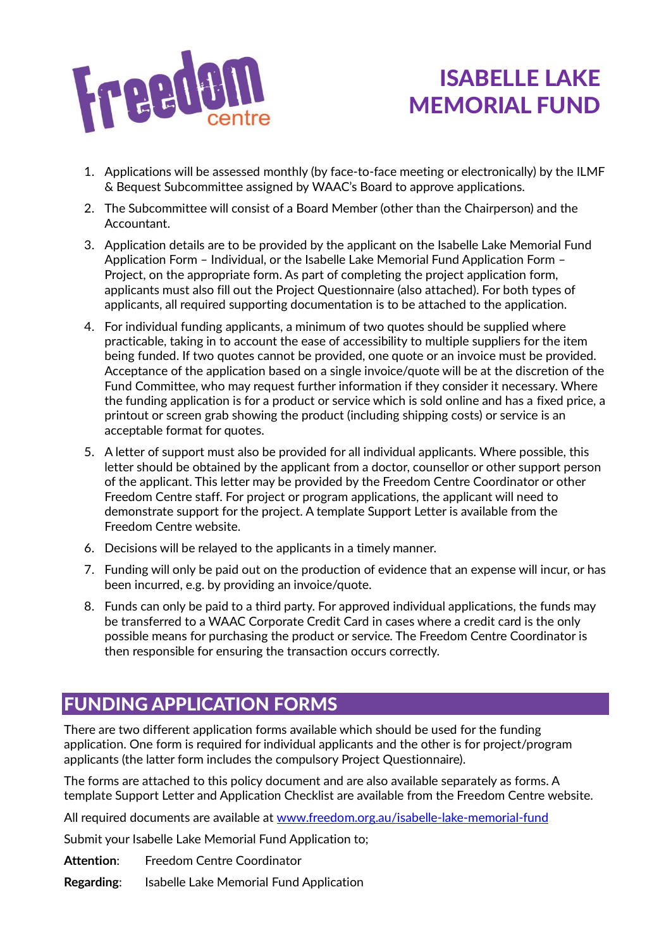

- 1. Applications will be assessed monthly (by face-to-face meeting or electronically) by the ILMF & Bequest Subcommittee assigned by WAAC's Board to approve applications.
- 2. The Subcommittee will consist of a Board Member (other than the Chairperson) and the Accountant.
- 3. Application details are to be provided by the applicant on the Isabelle Lake Memorial Fund Application Form – Individual, or the Isabelle Lake Memorial Fund Application Form – Project, on the appropriate form. As part of completing the project application form, applicants must also fill out the Project Questionnaire (also attached). For both types of applicants, all required supporting documentation is to be attached to the application.
- 4. For individual funding applicants, a minimum of two quotes should be supplied where practicable, taking in to account the ease of accessibility to multiple suppliers for the item being funded. If two quotes cannot be provided, one quote or an invoice must be provided. Acceptance of the application based on a single invoice/quote will be at the discretion of the Fund Committee, who may request further information if they consider it necessary. Where the funding application is for a product or service which is sold online and has a fixed price, a printout or screen grab showing the product (including shipping costs) or service is an acceptable format for quotes.
- 5. A letter of support must also be provided for all individual applicants. Where possible, this letter should be obtained by the applicant from a doctor, counsellor or other support person of the applicant. This letter may be provided by the Freedom Centre Coordinator or other Freedom Centre staff. For project or program applications, the applicant will need to demonstrate support for the project. A template Support Letter is available from the Freedom Centre website.
- 6. Decisions will be relayed to the applicants in a timely manner.
- 7. Funding will only be paid out on the production of evidence that an expense will incur, or has been incurred, e.g. by providing an invoice/quote.
- 8. Funds can only be paid to a third party. For approved individual applications, the funds may be transferred to a WAAC Corporate Credit Card in cases where a credit card is the only possible means for purchasing the product or service. The Freedom Centre Coordinator is then responsible for ensuring the transaction occurs correctly.

### FUNDING APPLICATION FORMS

There are two different application forms available which should be used for the funding application. One form is required for individual applicants and the other is for project/program applicants (the latter form includes the compulsory Project Questionnaire).

The forms are attached to this policy document and are also available separately as forms. A template Support Letter and Application Checklist are available from the Freedom Centre website.

All required documents are available at [www.freedom.org.au/isabelle-lake-memorial-fund](https://www.freedom.org.au/isabelle-lake-memorial-fund)

Submit your Isabelle Lake Memorial Fund Application to;

**Attention**: Freedom Centre Coordinator

**Regarding**: Isabelle Lake Memorial Fund Application